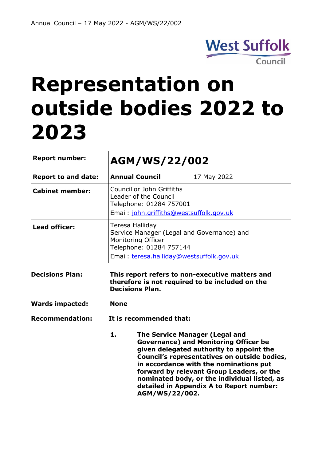

# **Representation on outside bodies 2022 to 2023**

| <b>Report number:</b>      | AGM/WS/22/002                                                                                                                                               |                        |                                                                                                                                                                                                                                                                                                                                                                      |
|----------------------------|-------------------------------------------------------------------------------------------------------------------------------------------------------------|------------------------|----------------------------------------------------------------------------------------------------------------------------------------------------------------------------------------------------------------------------------------------------------------------------------------------------------------------------------------------------------------------|
| <b>Report to and date:</b> |                                                                                                                                                             | <b>Annual Council</b>  | 17 May 2022                                                                                                                                                                                                                                                                                                                                                          |
| <b>Cabinet member:</b>     | Councillor John Griffiths<br>Leader of the Council<br>Telephone: 01284 757001<br>Email: john.griffiths@westsuffolk.gov.uk                                   |                        |                                                                                                                                                                                                                                                                                                                                                                      |
| <b>Lead officer:</b>       | Teresa Halliday<br>Service Manager (Legal and Governance) and<br>Monitoring Officer<br>Telephone: 01284 757144<br>Email: teresa.halliday@westsuffolk.gov.uk |                        |                                                                                                                                                                                                                                                                                                                                                                      |
| <b>Decisions Plan:</b>     |                                                                                                                                                             | <b>Decisions Plan.</b> | This report refers to non-executive matters and<br>therefore is not required to be included on the                                                                                                                                                                                                                                                                   |
| <b>Wards impacted:</b>     | <b>None</b>                                                                                                                                                 |                        |                                                                                                                                                                                                                                                                                                                                                                      |
| <b>Recommendation:</b>     | It is recommended that:                                                                                                                                     |                        |                                                                                                                                                                                                                                                                                                                                                                      |
|                            | 1.                                                                                                                                                          | AGM/WS/22/002.         | <b>The Service Manager (Legal and</b><br><b>Governance) and Monitoring Officer be</b><br>given delegated authority to appoint the<br>Council's representatives on outside bodies,<br>in accordance with the nominations put<br>forward by relevant Group Leaders, or the<br>nominated body, or the individual listed, as<br>detailed in Appendix A to Report number: |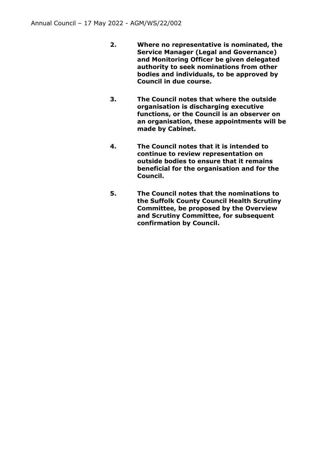- **2. Where no representative is nominated, the Service Manager (Legal and Governance) and Monitoring Officer be given delegated authority to seek nominations from other bodies and individuals, to be approved by Council in due course.**
- **3. The Council notes that where the outside organisation is discharging executive functions, or the Council is an observer on an organisation, these appointments will be made by Cabinet.**
- **4. The Council notes that it is intended to continue to review representation on outside bodies to ensure that it remains beneficial for the organisation and for the Council.**
- **5. The Council notes that the nominations to the Suffolk County Council Health Scrutiny Committee, be proposed by the Overview and Scrutiny Committee, for subsequent confirmation by Council.**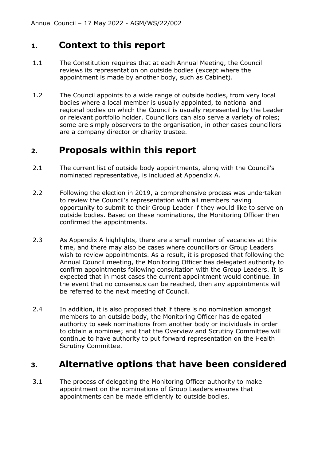#### **1. Context to this report**

- 1.1 The Constitution requires that at each Annual Meeting, the Council reviews its representation on outside bodies (except where the appointment is made by another body, such as Cabinet).
- 1.2 The Council appoints to a wide range of outside bodies, from very local bodies where a local member is usually appointed, to national and regional bodies on which the Council is usually represented by the Leader or relevant portfolio holder. Councillors can also serve a variety of roles; some are simply observers to the organisation, in other cases councillors are a company director or charity trustee.

#### **2. Proposals within this report**

- 2.1 The current list of outside body appointments, along with the Council's nominated representative, is included at Appendix A.
- 2.2 Following the election in 2019, a comprehensive process was undertaken to review the Council's representation with all members having opportunity to submit to their Group Leader if they would like to serve on outside bodies. Based on these nominations, the Monitoring Officer then confirmed the appointments.
- 2.3 As Appendix A highlights, there are a small number of vacancies at this time, and there may also be cases where councillors or Group Leaders wish to review appointments. As a result, it is proposed that following the Annual Council meeting, the Monitoring Officer has delegated authority to confirm appointments following consultation with the Group Leaders. It is expected that in most cases the current appointment would continue. In the event that no consensus can be reached, then any appointments will be referred to the next meeting of Council.
- 2.4 In addition, it is also proposed that if there is no nomination amongst members to an outside body, the Monitoring Officer has delegated authority to seek nominations from another body or individuals in order to obtain a nominee; and that the Overview and Scrutiny Committee will continue to have authority to put forward representation on the Health Scrutiny Committee.

# **3. Alternative options that have been considered**

3.1 The process of delegating the Monitoring Officer authority to make appointment on the nominations of Group Leaders ensures that appointments can be made efficiently to outside bodies.